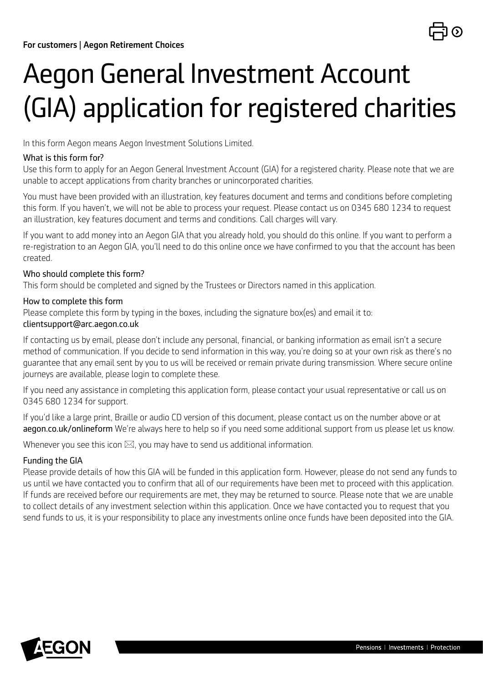# Aegon General Investment Account (GIA) application for registered charities

In this form Aegon means Aegon Investment Solutions Limited.

### What is this form for?

Use this form to apply for an Aegon General Investment Account (GIA) for a registered charity. Please note that we are unable to accept applications from charity branches or unincorporated charities.

You must have been provided with an illustration, key features document and terms and conditions before completing this form. If you haven't, we will not be able to process your request. Please contact us on 0345 680 1234 to request an illustration, key features document and terms and conditions. Call charges will vary.

If you want to add money into an Aegon GIA that you already hold, you should do this online. If you want to perform a re-registration to an Aegon GIA, you'll need to do this online once we have confirmed to you that the account has been created.

### Who should complete this form?

This form should be completed and signed by the Trustees or Directors named in this application.

### How to complete this form

Please complete this form by typing in the boxes, including the signature box(es) and email it to:

### [clientsupport@arc.aegon.co.uk](mailto:clientsupport%40arc.aegon.co.uk?subject=)

If contacting us by email, please don't include any personal, financial, or banking information as email isn't a secure method of communication. If you decide to send information in this way, you're doing so at your own risk as there's no guarantee that any email sent by you to us will be received or remain private during transmission. Where secure online journeys are available, please login to complete these.

If you need any assistance in completing this application form, please contact your usual representative or call us on 0345 680 1234 for support.

If you'd like a large print, Braille or audio CD version of this document, please contact us on the number above or at [aegon.co.uk/onlineform](http://aegon.co.uk/onlineform) We're always here to help so if you need some additional support from us please let us know.

Whenever you see this icon  $\boxtimes$ , you may have to send us additional information.

### Funding the GIA

Please provide details of how this GIA will be funded in this application form. However, please do not send any funds to us until we have contacted you to confirm that all of our requirements have been met to proceed with this application. If funds are received before our requirements are met, they may be returned to source. Please note that we are unable to collect details of any investment selection within this application. Once we have contacted you to request that you send funds to us, it is your responsibility to place any investments online once funds have been deposited into the GIA.

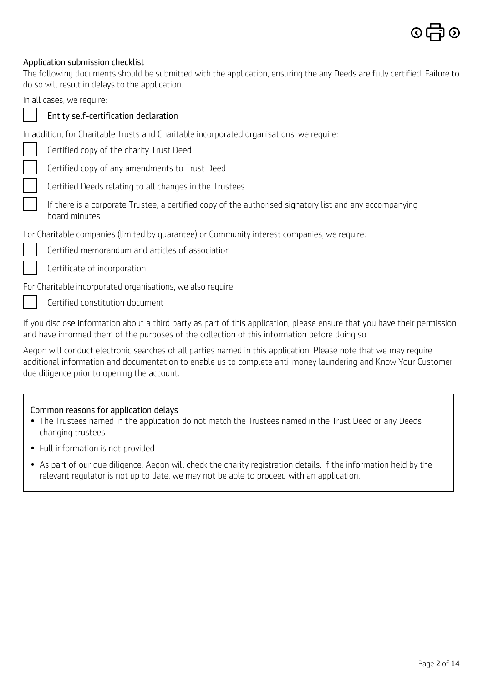

### Application submission checklist

The following documents should be submitted with the application, ensuring the any Deeds are fully certified. Failure to do so will result in delays to the application.

In all cases, we require:

### [Entity self-certification declaration](https://www.aegon.co.uk/content/dam/ukpaw/documents/entity-self-certification-declaration.pdf)

In addition, for Charitable Trusts and Charitable incorporated organisations, we require:

Certified copy of the charity Trust Deed

Certified copy of any amendments to Trust Deed

Certified Deeds relating to all changes in the Trustees

 If there is a corporate Trustee, a certified copy of the authorised signatory list and any accompanying board minutes

For Charitable companies (limited by guarantee) or Community interest companies, we require:

Certified memorandum and articles of association

Certificate of incorporation

For Charitable incorporated organisations, we also require:

Certified constitution document

If you disclose information about a third party as part of this application, please ensure that you have their permission and have informed them of the purposes of the collection of this information before doing so.

Aegon will conduct electronic searches of all parties named in this application. Please note that we may require additional information and documentation to enable us to complete anti-money laundering and Know Your Customer due diligence prior to opening the account.

#### Common reasons for application delays

- The Trustees named in the application do not match the Trustees named in the Trust Deed or any Deeds changing trustees
- Full information is not provided
- As part of our due diligence, Aegon will check the charity registration details. If the information held by the relevant regulator is not up to date, we may not be able to proceed with an application.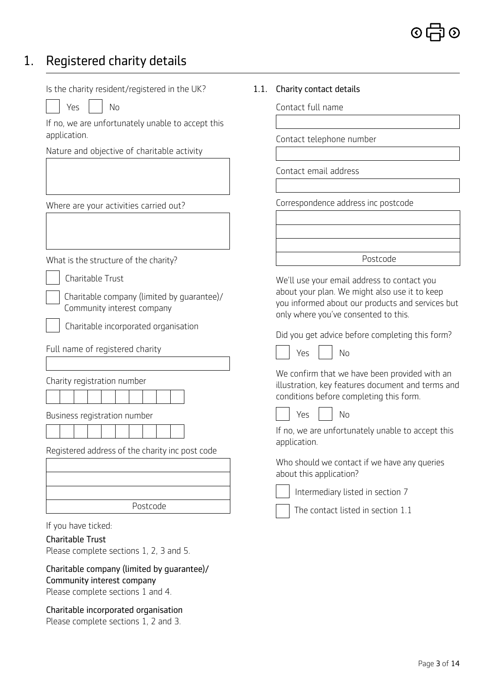### 1. Registered charity details

Is the charity resident/registered in the UK?

 $Yes$   $|$   $|$   $No$ 

If no, we are unfortunately unable to accept this application.

Nature and objective of charitable activity

Where are your activities carried out?

What is the structure of the charity?

Charitable Trust

 Charitable company (limited by guarantee)/ Community interest company

Charitable incorporated organisation

Full name of registered charity

Charity registration number

| ш |  |
|---|--|
|   |  |
|   |  |
|   |  |
|   |  |
|   |  |
|   |  |

Business registration number

| the contract of the contract of the contract of |  |  |  | the contract of the contract of the contract of |  |
|-------------------------------------------------|--|--|--|-------------------------------------------------|--|
|                                                 |  |  |  |                                                 |  |
|                                                 |  |  |  |                                                 |  |
|                                                 |  |  |  |                                                 |  |
|                                                 |  |  |  |                                                 |  |

Registered address of the charity inc post code

| Postcode |
|----------|

If you have ticked:

#### Charitable Trust

Please complete sections 1, 2, 3 and 5.

Charitable company (limited by guarantee)/ Community interest company Please complete sections 1 and 4.

Charitable incorporated organisation Please complete sections 1, 2 and 3.

### 1.1. Charity contact details

Contact full name

Contact telephone number

Contact email address

Correspondence address inc postcode

Postcode

We'll use your email address to contact you about your plan. We might also use it to keep you informed about our products and services but only where you've consented to this.

Did you get advice before completing this form?

No

 $N<sub>0</sub>$ 

| ×<br>v.<br>۰. |  |
|---------------|--|
|               |  |

We confirm that we have been provided with an illustration, key features document and terms and conditions before completing this form.

If no, we are unfortunately unable to accept this application.

Who should we contact if we have any queries about this application?



Intermediary listed in section 7

The contact listed in section 1.1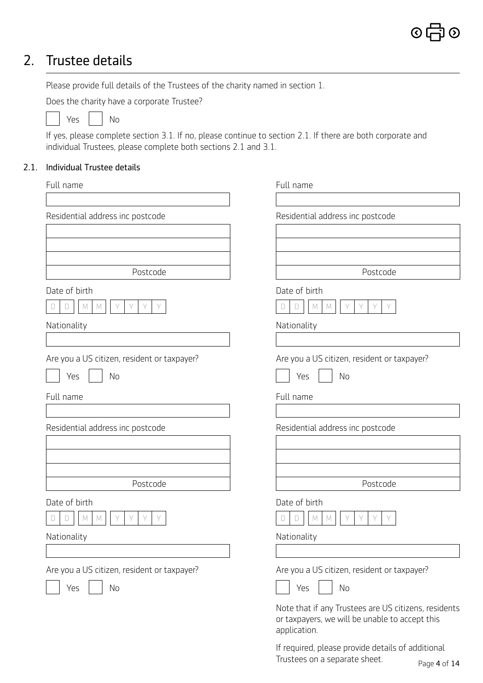# 2. Trustee details

Please provide full details of the Trustees of the charity named in section 1.

Does the charity have a corporate Trustee?

| No<br>Υρς |
|-----------|
|-----------|

If yes, please complete section 3.1. If no, please continue to section 2.1. If there are both corporate and individual Trustees, please complete both sections 2.1 and 3.1.

### 2.1. Individual Trustee details

| Full name                                   | Full name                                                                                                              |
|---------------------------------------------|------------------------------------------------------------------------------------------------------------------------|
|                                             |                                                                                                                        |
| Residential address inc postcode            | Residential address inc postcode                                                                                       |
|                                             |                                                                                                                        |
|                                             |                                                                                                                        |
|                                             |                                                                                                                        |
| Postcode                                    | Postcode                                                                                                               |
| Date of birth                               | Date of birth                                                                                                          |
| M<br>Y<br>Y<br>D<br>M                       | $\mathbb M$<br>Y<br>Y<br>$\Box$<br>M<br>D                                                                              |
| Nationality                                 | Nationality                                                                                                            |
|                                             |                                                                                                                        |
| Are you a US citizen, resident or taxpayer? | Are you a US citizen, resident or taxpayer?                                                                            |
| No<br>Yes                                   | No<br>Yes                                                                                                              |
| Full name                                   | Full name                                                                                                              |
|                                             |                                                                                                                        |
| Residential address inc postcode            | Residential address inc postcode                                                                                       |
|                                             |                                                                                                                        |
|                                             |                                                                                                                        |
|                                             |                                                                                                                        |
| Postcode                                    | Postcode                                                                                                               |
| Date of birth                               | Date of birth                                                                                                          |
| Y<br>М<br>M                                 | Y<br>Y<br>$M_{\odot}$<br>D<br>D<br>M                                                                                   |
| Nationality                                 | Nationality                                                                                                            |
|                                             |                                                                                                                        |
| Are you a US citizen, resident or taxpayer? | Are you a US citizen, resident or taxpayer?                                                                            |
| No<br>Yes                                   | No<br>Yes                                                                                                              |
|                                             | Note that if any Trustees are US citizens, residents<br>or taxpayers, we will be unable to accept this<br>application. |

If required, please provide details of additional Trustees on a separate sheet.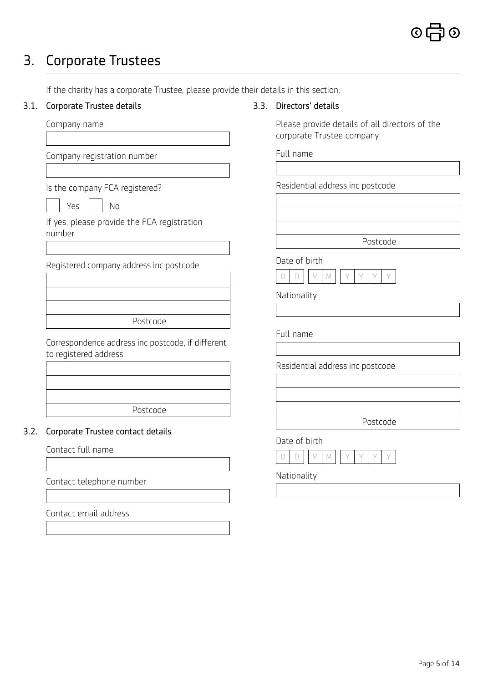# 3. Corporate Trustees

| 3.1. | Corporate Trustee details                                                  | 3.3. | Directors' details                                                           |
|------|----------------------------------------------------------------------------|------|------------------------------------------------------------------------------|
|      | Company name                                                               |      | Please provide details of all directors of the<br>corporate Trustee company. |
|      | Company registration number                                                |      | Full name                                                                    |
|      | Is the company FCA registered?                                             |      | Residential address inc postcode                                             |
|      | Yes<br>No                                                                  |      |                                                                              |
|      | If yes, please provide the FCA registration<br>number                      |      |                                                                              |
|      |                                                                            |      | Postcode                                                                     |
|      | Registered company address inc postcode                                    |      | Date of birth<br>$\mathbb M$<br>$\Box$<br>Y<br>$\forall$<br>D<br>M           |
|      |                                                                            |      | Nationality                                                                  |
|      | Postcode                                                                   |      |                                                                              |
|      | Correspondence address inc postcode, if different<br>to registered address |      | Full name                                                                    |
|      |                                                                            |      | Residential address inc postcode                                             |
|      |                                                                            |      |                                                                              |
|      | Postcode                                                                   |      |                                                                              |
| 3.2. | Corporate Trustee contact details                                          |      | Postcode                                                                     |
|      | Contact full name                                                          |      | Date of birth                                                                |
|      |                                                                            |      | $\mathbb{M}$<br>M<br>D<br>D                                                  |
|      | Contact telephone number                                                   |      | Nationality                                                                  |
|      |                                                                            |      |                                                                              |
|      | Contact email address                                                      |      |                                                                              |

If the charity has a corporate Trustee, please provide their details in this section.

### 3.1. Corporate Trustee details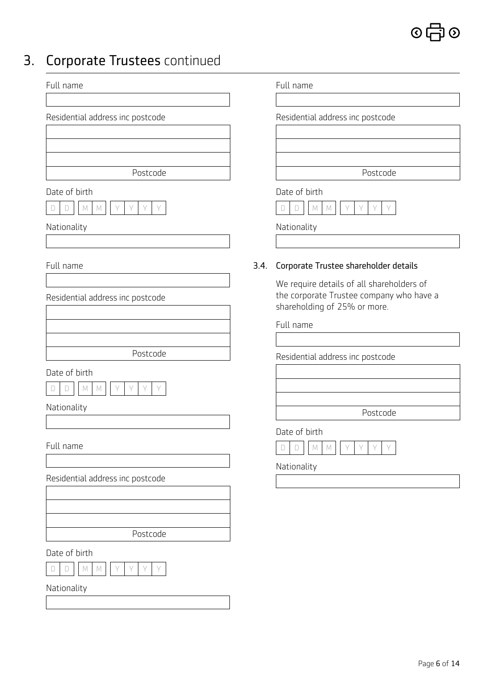

# 3. Corporate Trustees continued

| corporate mastecs continued                                                  |      |                                                                                                                       |
|------------------------------------------------------------------------------|------|-----------------------------------------------------------------------------------------------------------------------|
| Full name                                                                    |      | Full name                                                                                                             |
| Residential address inc postcode                                             |      | Residential address inc postcode                                                                                      |
| Postcode                                                                     |      | Postcode                                                                                                              |
| Date of birth<br>Y<br>Y<br>$M_{\odot}$<br>Y<br>D<br>D<br>M                   |      | Date of birth<br>Y<br>Y<br>Y<br>$\Box$<br>$\mathbb M$<br>$\Box$<br>M                                                  |
| Nationality                                                                  |      | Nationality                                                                                                           |
| Full name                                                                    | 3.4. | Corporate Trustee shareholder details                                                                                 |
| Residential address inc postcode                                             |      | We require details of all shareholders of<br>the corporate Trustee company who have a<br>shareholding of 25% or more. |
|                                                                              |      | Full name                                                                                                             |
| Postcode                                                                     |      | Residential address inc postcode                                                                                      |
| Date of birth<br>Y<br>V<br>M<br>D<br>M<br>Ð                                  |      |                                                                                                                       |
| Nationality                                                                  |      | Postcode                                                                                                              |
| Full name                                                                    |      | Date of birth<br>$\mathbb M$<br>Y<br>$\forall$<br>$\Box$<br>Y<br>D<br>M                                               |
| Residential address inc postcode                                             |      | Nationality                                                                                                           |
|                                                                              |      |                                                                                                                       |
| Postcode                                                                     |      |                                                                                                                       |
| Date of birth<br>$\forall$<br>Y<br>Y<br>$\Box$<br>M<br>$\mathbb M$<br>Y<br>D |      |                                                                                                                       |
| Nationality                                                                  |      |                                                                                                                       |
|                                                                              |      |                                                                                                                       |
|                                                                              |      |                                                                                                                       |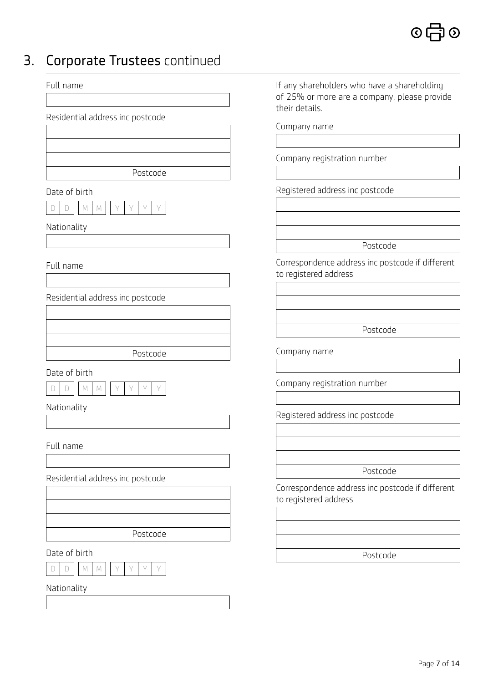# 3. Corporate Trustees continued

| Full name                                                       | If any shareholders who have a shareholding<br>of 25% or more are a company, please provide<br>their details. |
|-----------------------------------------------------------------|---------------------------------------------------------------------------------------------------------------|
| Residential address inc postcode                                | Company name                                                                                                  |
|                                                                 |                                                                                                               |
|                                                                 |                                                                                                               |
| Postcode                                                        | Company registration number                                                                                   |
|                                                                 |                                                                                                               |
| Date of birth                                                   | Registered address inc postcode                                                                               |
| $\forall$<br>Y<br>$\forall$<br>$M_{\odot}$<br>Y<br>M<br>D       |                                                                                                               |
| Nationality                                                     |                                                                                                               |
|                                                                 | Postcode                                                                                                      |
|                                                                 |                                                                                                               |
| Full name                                                       | Correspondence address inc postcode if different<br>to registered address                                     |
|                                                                 |                                                                                                               |
| Residential address inc postcode                                |                                                                                                               |
|                                                                 |                                                                                                               |
|                                                                 | Postcode                                                                                                      |
| Postcode                                                        | Company name                                                                                                  |
| Date of birth                                                   |                                                                                                               |
| M<br>Y<br>$\forall$<br>$\forall$<br>Y<br>$M_{\odot}$<br>D<br>IJ | Company registration number                                                                                   |
|                                                                 |                                                                                                               |
| Nationality                                                     | Registered address inc postcode                                                                               |
|                                                                 |                                                                                                               |
| Full name                                                       |                                                                                                               |
|                                                                 |                                                                                                               |
| Residential address inc postcode                                | Postcode                                                                                                      |
|                                                                 | Correspondence address inc postcode if different<br>to registered address                                     |
|                                                                 |                                                                                                               |
| Postcode                                                        |                                                                                                               |
|                                                                 |                                                                                                               |
| Date of birth                                                   | Postcode                                                                                                      |
| Y<br>Y<br>$\Box$<br>M<br>M<br>Y<br>Y<br>$\Box$                  |                                                                                                               |
| Nationality                                                     |                                                                                                               |
|                                                                 |                                                                                                               |
|                                                                 |                                                                                                               |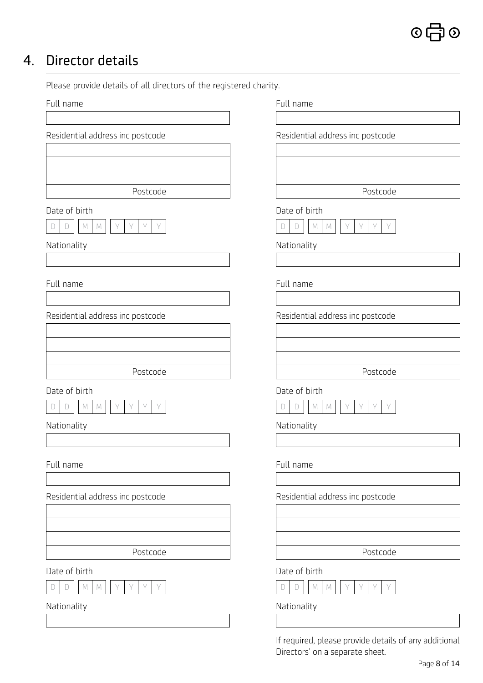# 4. Director details

Please provide details of all directors of the registered charity.

| Full name                                                               | Full name                                                       |
|-------------------------------------------------------------------------|-----------------------------------------------------------------|
| Residential address inc postcode                                        | Residential address inc postcode                                |
| Postcode<br>Date of birth                                               | Postcode<br>Date of birth                                       |
| Y<br>Y<br>Y<br>$\Box$<br>M<br>D<br>M                                    | Υ<br>$\Box$<br>M<br>D<br>M                                      |
| Nationality                                                             | Nationality                                                     |
|                                                                         |                                                                 |
| Full name                                                               | Full name                                                       |
| Residential address inc postcode                                        | Residential address inc postcode                                |
|                                                                         |                                                                 |
|                                                                         |                                                                 |
| Postcode                                                                | Postcode                                                        |
| Date of birth<br>$\forall$<br>Y<br>Y<br>M<br>M<br>D<br>Y<br>D           | Date of birth<br>Y<br>Y<br>Y<br>D<br>D<br>М<br>M                |
| Nationality                                                             | Nationality                                                     |
|                                                                         |                                                                 |
| Full name                                                               | Full name                                                       |
| Residential address inc postcode                                        | Residential address inc postcode                                |
| Postcode                                                                | Postcode                                                        |
| Date of birth<br>Y<br>$\forall$<br>Y<br>$\mathbb M$<br>Y<br>M<br>D<br>D | Date of birth<br>Y<br>Y<br>$\mathbb M$<br>Y<br>Y<br>M<br>D<br>D |
| Nationality                                                             | Nationality                                                     |
|                                                                         |                                                                 |
|                                                                         | If required, please provide details of any additional           |

Directors' on a separate sheet.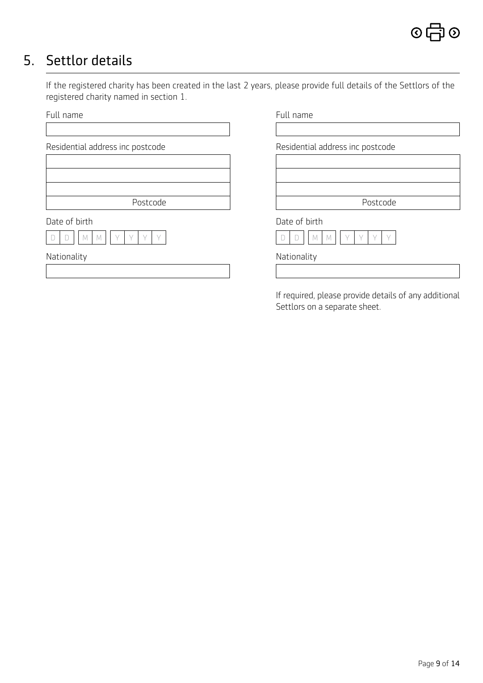# 5. Settlor details

If the registered charity has been created in the last 2 years, please provide full details of the Settlors of the registered charity named in section 1.

| Full name                        | Full name                        |
|----------------------------------|----------------------------------|
|                                  |                                  |
| Residential address inc postcode | Residential address inc postcode |
|                                  |                                  |
|                                  |                                  |
| Postcode                         | Postcode                         |
| Date of birth                    | Date of birth                    |
| M                                | ΙVΙ                              |
| Nationality                      | Nationality                      |
|                                  |                                  |

If required, please provide details of any additional Settlors on a separate sheet.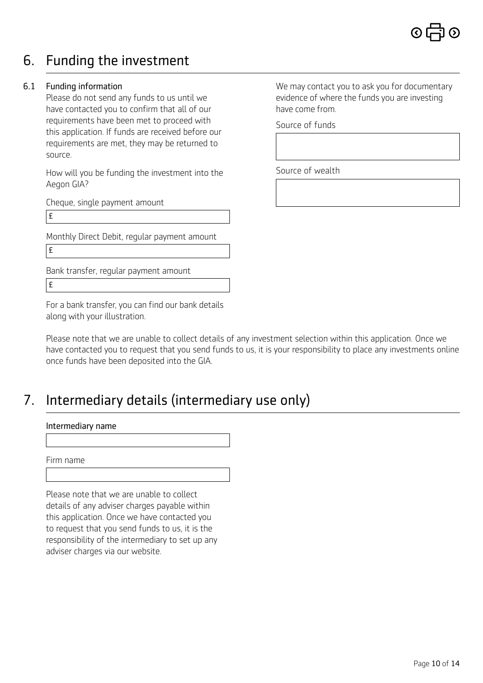

### 6. Funding the investment

### 6.1 Funding information

Please do not send any funds to us until we have contacted you to confirm that all of our requirements have been met to proceed with this application. If funds are received before our requirements are met, they may be returned to source.

How will you be funding the investment into the Aegon GIA?

Cheque, single payment amount

£

Monthly Direct Debit, regular payment amount £

Bank transfer, regular payment amount £

For a bank transfer, you can find our bank details along with your illustration.

Please note that we are unable to collect details of any investment selection within this application. Once we have contacted you to request that you send funds to us, it is your responsibility to place any investments online once funds have been deposited into the GIA.

### 7. Intermediary details (intermediary use only)

#### Intermediary name

Firm name

Please note that we are unable to collect details of any adviser charges payable within this application. Once we have contacted you to request that you send funds to us, it is the responsibility of the intermediary to set up any adviser charges via our website.

We may contact you to ask you for documentary evidence of where the funds you are investing have come from.

Source of funds

Source of wealth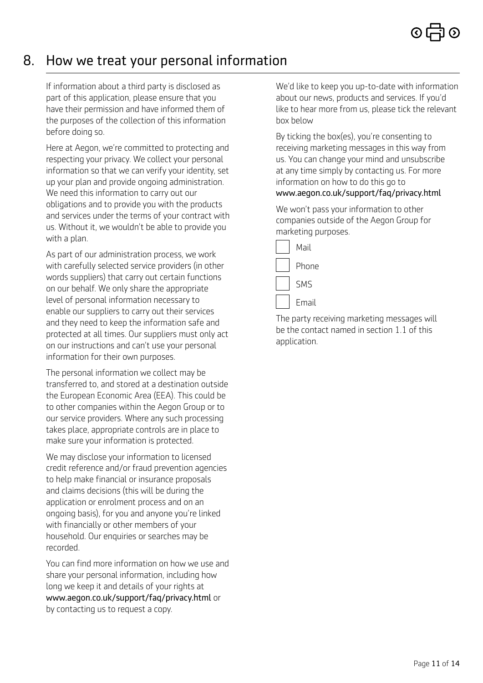### 8. How we treat your personal information

If information about a third party is disclosed as part of this application, please ensure that you have their permission and have informed them of the purposes of the collection of this information before doing so.

Here at Aegon, we're committed to protecting and respecting your privacy. We collect your personal information so that we can verify your identity, set up your plan and provide ongoing administration. We need this information to carry out our obligations and to provide you with the products and services under the terms of your contract with us. Without it, we wouldn't be able to provide you with a plan.

As part of our administration process, we work with carefully selected service providers (in other words suppliers) that carry out certain functions on our behalf. We only share the appropriate level of personal information necessary to enable our suppliers to carry out their services and they need to keep the information safe and protected at all times. Our suppliers must only act on our instructions and can't use your personal information for their own purposes.

The personal information we collect may be transferred to, and stored at a destination outside the European Economic Area (EEA). This could be to other companies within the Aegon Group or to our service providers. Where any such processing takes place, appropriate controls are in place to make sure your information is protected.

We may disclose your information to licensed credit reference and/or fraud prevention agencies to help make financial or insurance proposals and claims decisions (this will be during the application or enrolment process and on an ongoing basis), for you and anyone you're linked with financially or other members of your household. Our enquiries or searches may be recorded.

You can find more information on how we use and share your personal information, including how long we keep it and details of your rights at [www.aegon.co.uk/support/faq/privacy.html](http://www.aegon.co.uk/support/faq/privacy.html) or by contacting us to request a copy.

We'd like to keep you up-to-date with information about our news, products and services. If you'd like to hear more from us, please tick the relevant box below

By ticking the box(es), you're consenting to receiving marketing messages in this way from us. You can change your mind and unsubscribe at any time simply by contacting us. For more information on how to do this go to [www.aegon.co.uk/support/faq/privacy.html](http://www.aegon.co.uk/support/faq/privacy.html)

We won't pass your information to other companies outside of the Aegon Group for marketing purposes.



The party receiving marketing messages will be the contact named in section 1.1 of this application.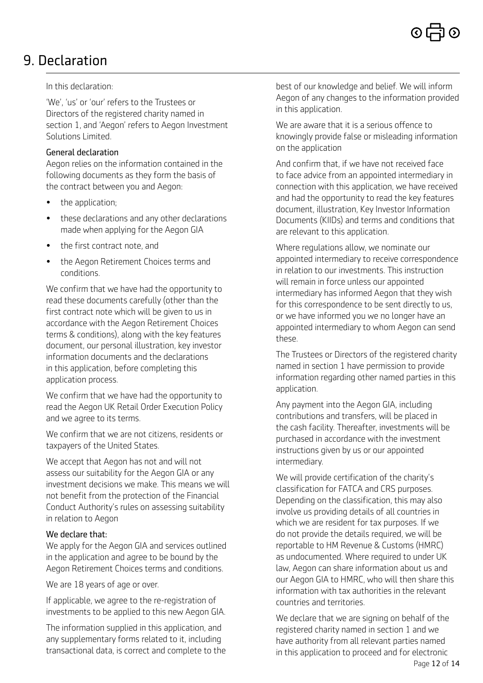## 9. Declaration

In this declaration:

'We', 'us' or 'our' refers to the Trustees or Directors of the registered charity named in section 1, and 'Aegon' refers to Aegon Investment Solutions Limited.

### General declaration

Aegon relies on the information contained in the following documents as they form the basis of the contract between you and Aegon:

- the application;
- these declarations and any other declarations made when applying for the Aegon GIA
- the first contract note, and
- the Aegon Retirement Choices terms and conditions.

We confirm that we have had the opportunity to read these documents carefully (other than the first contract note which will be given to us in accordance with the Aegon Retirement Choices terms & conditions), along with the key features document, our personal illustration, key investor information documents and the declarations in this application, before completing this application process.

We confirm that we have had the opportunity to read the Aegon UK Retail Order Execution Policy and we agree to its terms.

We confirm that we are not citizens, residents or taxpayers of the United States.

We accept that Aegon has not and will not assess our suitability for the Aegon GIA or any investment decisions we make. This means we will not benefit from the protection of the Financial Conduct Authority's rules on assessing suitability in relation to Aegon

### We declare that:

We apply for the Aegon GIA and services outlined in the application and agree to be bound by the Aegon Retirement Choices terms and conditions.

We are 18 years of age or over.

If applicable, we agree to the re-registration of investments to be applied to this new Aegon GIA.

The information supplied in this application, and any supplementary forms related to it, including transactional data, is correct and complete to the best of our knowledge and belief. We will inform Aegon of any changes to the information provided in this application.

We are aware that it is a serious offence to knowingly provide false or misleading information on the application

And confirm that, if we have not received face to face advice from an appointed intermediary in connection with this application, we have received and had the opportunity to read the key features document, illustration, Key Investor Information Documents (KIIDs) and terms and conditions that are relevant to this application.

Where regulations allow, we nominate our appointed intermediary to receive correspondence in relation to our investments. This instruction will remain in force unless our appointed intermediary has informed Aegon that they wish for this correspondence to be sent directly to us, or we have informed you we no longer have an appointed intermediary to whom Aegon can send these.

The Trustees or Directors of the registered charity named in section 1 have permission to provide information regarding other named parties in this application.

Any payment into the Aegon GIA, including contributions and transfers, will be placed in the cash facility. Thereafter, investments will be purchased in accordance with the investment instructions given by us or our appointed intermediary.

We will provide certification of the charity's classification for FATCA and CRS purposes. Depending on the classification, this may also involve us providing details of all countries in which we are resident for tax purposes. If we do not provide the details required, we will be reportable to HM Revenue & Customs (HMRC) as undocumented. Where required to under UK law, Aegon can share information about us and our Aegon GIA to HMRC, who will then share this information with tax authorities in the relevant countries and territories.

Page 12 of 14 We declare that we are signing on behalf of the registered charity named in section 1 and we have authority from all relevant parties named in this application to proceed and for electronic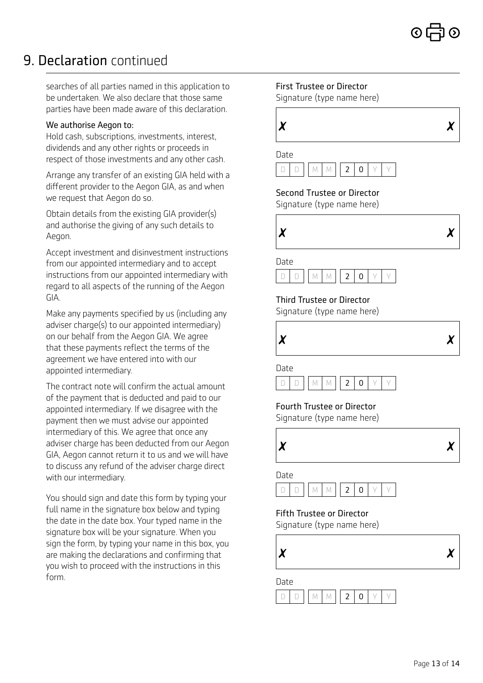# 9. Declaration continued

searches of all parties named in this application to be undertaken. We also declare that those same parties have been made aware of this declaration.

#### We authorise Aegon to:

Hold cash, subscriptions, investments, interest, dividends and any other rights or proceeds in respect of those investments and any other cash.

Arrange any transfer of an existing GIA held with a different provider to the Aegon GIA, as and when we request that Aegon do so.

Obtain details from the existing GIA provider(s) and authorise the giving of any such details to Aegon.

Accept investment and disinvestment instructions from our appointed intermediary and to accept instructions from our appointed intermediary with regard to all aspects of the running of the Aegon GIA.

Make any payments specified by us (including any adviser charge(s) to our appointed intermediary) on our behalf from the Aegon GIA. We agree that these payments reflect the terms of the agreement we have entered into with our appointed intermediary.

The contract note will confirm the actual amount of the payment that is deducted and paid to our appointed intermediary. If we disagree with the payment then we must advise our appointed intermediary of this. We agree that once any adviser charge has been deducted from our Aegon GIA, Aegon cannot return it to us and we will have to discuss any refund of the adviser charge direct with our intermediary.

You should sign and date this form by typing your full name in the signature box below and typing the date in the date box. Your typed name in the signature box will be your signature. When you sign the form, by typing your name in this box, you are making the declarations and confirming that you wish to proceed with the instructions in this form.

First Trustee or Director

Signature (type name here)

| X | $\chi$ |
|---|--------|
|   |        |



### Second Trustee or Director

Signature (type name here)



Date



### Third Trustee or Director

Signature (type name here)





Fourth Trustee or Director Signature (type name here)



Date



### Fifth Trustee or Director

Signature (type name here)



Date  $D | D | M | M | 2 | 0 | Y | Y$